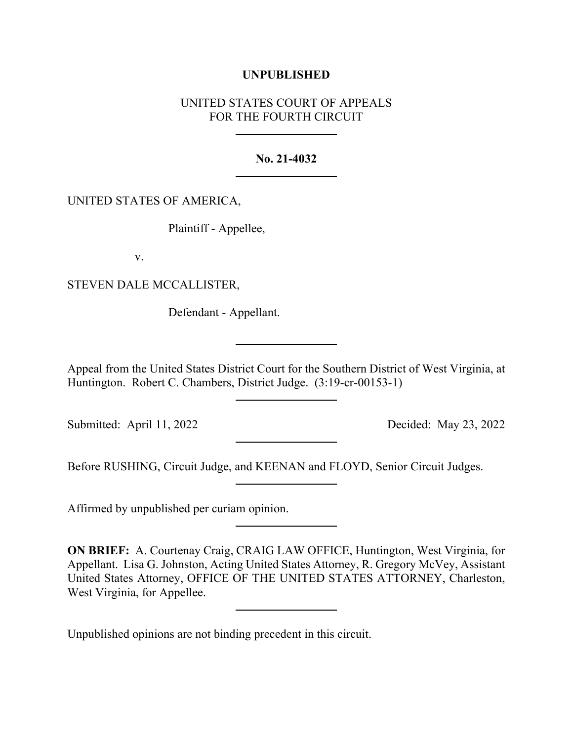## **UNPUBLISHED**

# UNITED STATES COURT OF APPEALS FOR THE FOURTH CIRCUIT

#### **No. 21-4032**

#### UNITED STATES OF AMERICA,

Plaintiff - Appellee,

v.

STEVEN DALE MCCALLISTER,

Defendant - Appellant.

Appeal from the United States District Court for the Southern District of West Virginia, at Huntington. Robert C. Chambers, District Judge. (3:19-cr-00153-1)

Submitted: April 11, 2022 Decided: May 23, 2022

Before RUSHING, Circuit Judge, and KEENAN and FLOYD, Senior Circuit Judges.

Affirmed by unpublished per curiam opinion.

**ON BRIEF:** A. Courtenay Craig, CRAIG LAW OFFICE, Huntington, West Virginia, for Appellant. Lisa G. Johnston, Acting United States Attorney, R. Gregory McVey, Assistant United States Attorney, OFFICE OF THE UNITED STATES ATTORNEY, Charleston, West Virginia, for Appellee.

Unpublished opinions are not binding precedent in this circuit.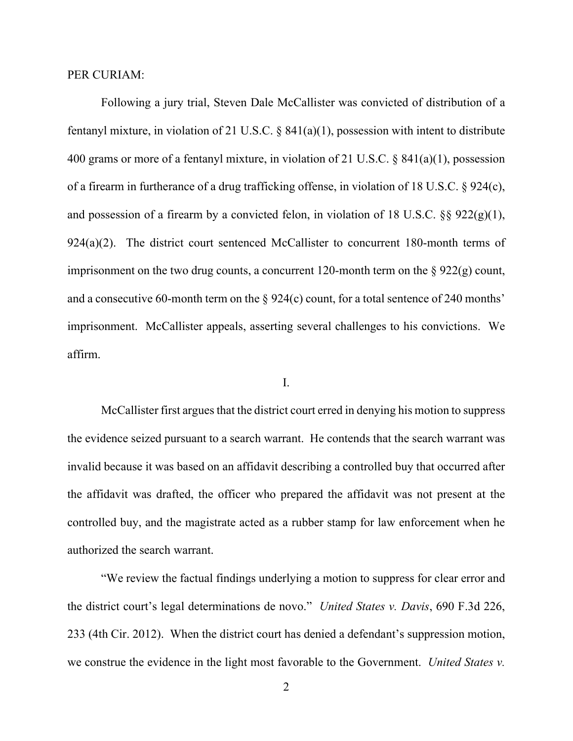#### PER CURIAM:

Following a jury trial, Steven Dale McCallister was convicted of distribution of a fentanyl mixture, in violation of 21 U.S.C. § 841(a)(1), possession with intent to distribute 400 grams or more of a fentanyl mixture, in violation of 21 U.S.C. § 841(a)(1), possession of a firearm in furtherance of a drug trafficking offense, in violation of 18 U.S.C. § 924(c), and possession of a firearm by a convicted felon, in violation of 18 U.S.C.  $\S$ § 922(g)(1), 924(a)(2). The district court sentenced McCallister to concurrent 180-month terms of imprisonment on the two drug counts, a concurrent 120-month term on the  $\S 922(g)$  count, and a consecutive 60-month term on the  $\S 924(c)$  count, for a total sentence of 240 months' imprisonment. McCallister appeals, asserting several challenges to his convictions. We affirm.

#### I.

McCallister first argues that the district court erred in denying his motion to suppress the evidence seized pursuant to a search warrant. He contends that the search warrant was invalid because it was based on an affidavit describing a controlled buy that occurred after the affidavit was drafted, the officer who prepared the affidavit was not present at the controlled buy, and the magistrate acted as a rubber stamp for law enforcement when he authorized the search warrant.

"We review the factual findings underlying a motion to suppress for clear error and the district court's legal determinations de novo." *United States v. Davis*, 690 F.3d 226, 233 (4th Cir. 2012). When the district court has denied a defendant's suppression motion, we construe the evidence in the light most favorable to the Government. *United States v.*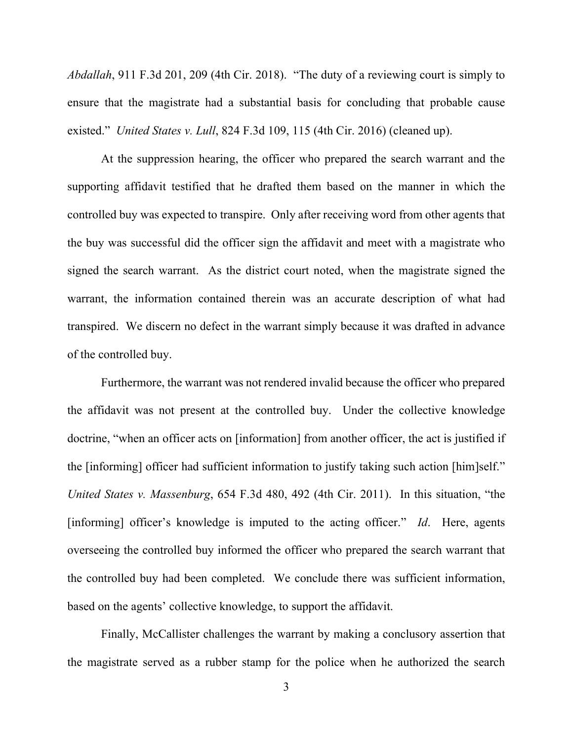*Abdallah*, 911 F.3d 201, 209 (4th Cir. 2018). "The duty of a reviewing court is simply to ensure that the magistrate had a substantial basis for concluding that probable cause existed." *United States v. Lull*, 824 F.3d 109, 115 (4th Cir. 2016) (cleaned up).

At the suppression hearing, the officer who prepared the search warrant and the supporting affidavit testified that he drafted them based on the manner in which the controlled buy was expected to transpire. Only after receiving word from other agents that the buy was successful did the officer sign the affidavit and meet with a magistrate who signed the search warrant. As the district court noted, when the magistrate signed the warrant, the information contained therein was an accurate description of what had transpired. We discern no defect in the warrant simply because it was drafted in advance of the controlled buy.

Furthermore, the warrant was not rendered invalid because the officer who prepared the affidavit was not present at the controlled buy. Under the collective knowledge doctrine, "when an officer acts on [information] from another officer, the act is justified if the [informing] officer had sufficient information to justify taking such action [him]self." *United States v. Massenburg*, 654 F.3d 480, 492 (4th Cir. 2011). In this situation, "the [informing] officer's knowledge is imputed to the acting officer." *Id*. Here, agents overseeing the controlled buy informed the officer who prepared the search warrant that the controlled buy had been completed. We conclude there was sufficient information, based on the agents' collective knowledge, to support the affidavit.

Finally, McCallister challenges the warrant by making a conclusory assertion that the magistrate served as a rubber stamp for the police when he authorized the search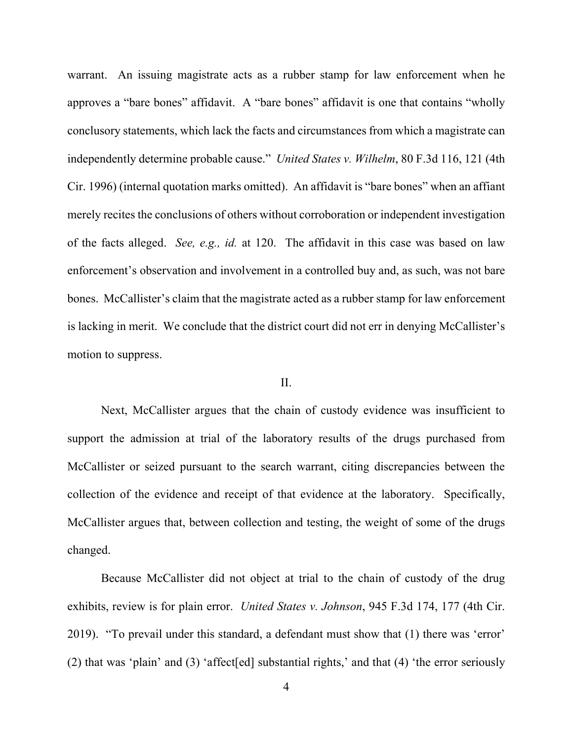warrant. An issuing magistrate acts as a rubber stamp for law enforcement when he approves a "bare bones" affidavit. A "bare bones" affidavit is one that contains "wholly conclusory statements, which lack the facts and circumstances from which a magistrate can independently determine probable cause." *United States v. Wilhelm*, 80 F.3d 116, 121 (4th Cir. 1996) (internal quotation marks omitted). An affidavit is "bare bones" when an affiant merely recites the conclusions of others without corroboration or independent investigation of the facts alleged. *See, e.g., id.* at 120. The affidavit in this case was based on law enforcement's observation and involvement in a controlled buy and, as such, was not bare bones. McCallister's claim that the magistrate acted as a rubber stamp for law enforcement is lacking in merit. We conclude that the district court did not err in denying McCallister's motion to suppress.

### II.

Next, McCallister argues that the chain of custody evidence was insufficient to support the admission at trial of the laboratory results of the drugs purchased from McCallister or seized pursuant to the search warrant, citing discrepancies between the collection of the evidence and receipt of that evidence at the laboratory. Specifically, McCallister argues that, between collection and testing, the weight of some of the drugs changed.

Because McCallister did not object at trial to the chain of custody of the drug exhibits, review is for plain error. *United States v. Johnson*, 945 F.3d 174, 177 (4th Cir. 2019). "To prevail under this standard, a defendant must show that (1) there was 'error' (2) that was 'plain' and (3) 'affect[ed] substantial rights,' and that (4) 'the error seriously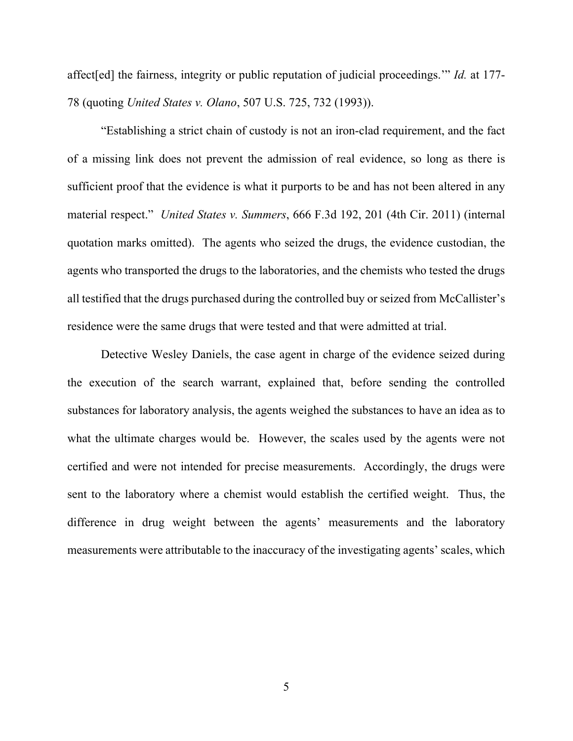affect[ed] the fairness, integrity or public reputation of judicial proceedings.'" *Id.* at 177- 78 (quoting *United States v. Olano*, 507 U.S. 725, 732 (1993)).

"Establishing a strict chain of custody is not an iron-clad requirement, and the fact of a missing link does not prevent the admission of real evidence, so long as there is sufficient proof that the evidence is what it purports to be and has not been altered in any material respect." *United States v. Summers*, 666 F.3d 192, 201 (4th Cir. 2011) (internal quotation marks omitted). The agents who seized the drugs, the evidence custodian, the agents who transported the drugs to the laboratories, and the chemists who tested the drugs all testified that the drugs purchased during the controlled buy or seized from McCallister's residence were the same drugs that were tested and that were admitted at trial.

Detective Wesley Daniels, the case agent in charge of the evidence seized during the execution of the search warrant, explained that, before sending the controlled substances for laboratory analysis, the agents weighed the substances to have an idea as to what the ultimate charges would be. However, the scales used by the agents were not certified and were not intended for precise measurements. Accordingly, the drugs were sent to the laboratory where a chemist would establish the certified weight. Thus, the difference in drug weight between the agents' measurements and the laboratory measurements were attributable to the inaccuracy of the investigating agents' scales, which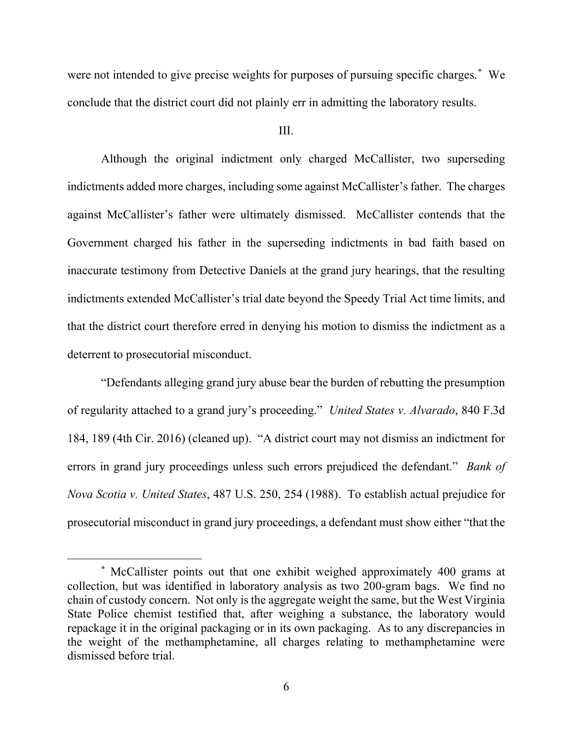were not intended to give precise weights for purposes of pursuing specific charges.[\\*](#page-5-0) We conclude that the district court did not plainly err in admitting the laboratory results.

III.

Although the original indictment only charged McCallister, two superseding indictments added more charges, including some against McCallister's father. The charges against McCallister's father were ultimately dismissed. McCallister contends that the Government charged his father in the superseding indictments in bad faith based on inaccurate testimony from Detective Daniels at the grand jury hearings, that the resulting indictments extended McCallister's trial date beyond the Speedy Trial Act time limits, and that the district court therefore erred in denying his motion to dismiss the indictment as a deterrent to prosecutorial misconduct.

"Defendants alleging grand jury abuse bear the burden of rebutting the presumption of regularity attached to a grand jury's proceeding." *United States v. Alvarado*, 840 F.3d 184, 189 (4th Cir. 2016) (cleaned up). "A district court may not dismiss an indictment for errors in grand jury proceedings unless such errors prejudiced the defendant." *Bank of Nova Scotia v. United States*, 487 U.S. 250, 254 (1988). To establish actual prejudice for prosecutorial misconduct in grand jury proceedings, a defendant must show either "that the

<span id="page-5-0"></span><sup>\*</sup> McCallister points out that one exhibit weighed approximately 400 grams at collection, but was identified in laboratory analysis as two 200-gram bags. We find no chain of custody concern. Not only is the aggregate weight the same, but the West Virginia State Police chemist testified that, after weighing a substance, the laboratory would repackage it in the original packaging or in its own packaging. As to any discrepancies in the weight of the methamphetamine, all charges relating to methamphetamine were dismissed before trial.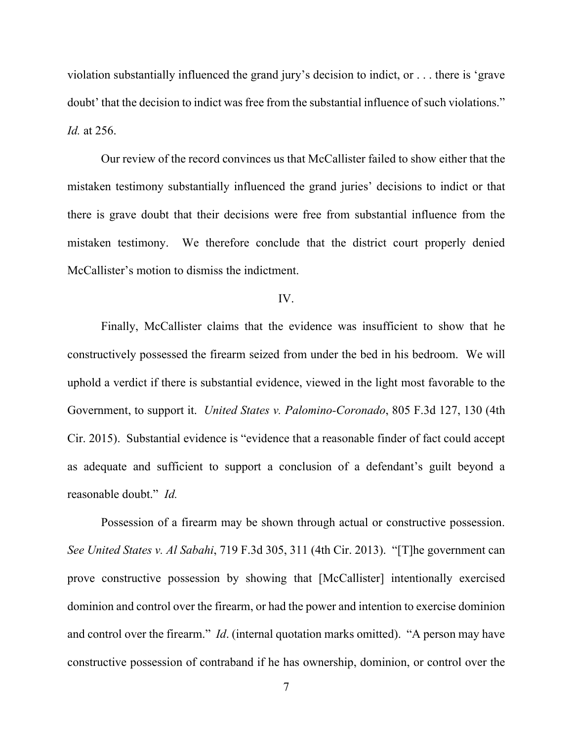violation substantially influenced the grand jury's decision to indict, or . . . there is 'grave doubt' that the decision to indict was free from the substantial influence of such violations." *Id.* at 256.

Our review of the record convinces us that McCallister failed to show either that the mistaken testimony substantially influenced the grand juries' decisions to indict or that there is grave doubt that their decisions were free from substantial influence from the mistaken testimony. We therefore conclude that the district court properly denied McCallister's motion to dismiss the indictment.

#### IV.

Finally, McCallister claims that the evidence was insufficient to show that he constructively possessed the firearm seized from under the bed in his bedroom. We will uphold a verdict if there is substantial evidence, viewed in the light most favorable to the Government, to support it. *United States v. Palomino-Coronado*, 805 F.3d 127, 130 (4th Cir. 2015). Substantial evidence is "evidence that a reasonable finder of fact could accept as adequate and sufficient to support a conclusion of a defendant's guilt beyond a reasonable doubt." *Id.*

Possession of a firearm may be shown through actual or constructive possession. *See United States v. Al Sabahi*, 719 F.3d 305, 311 (4th Cir. 2013). "[T]he government can prove constructive possession by showing that [McCallister] intentionally exercised dominion and control over the firearm, or had the power and intention to exercise dominion and control over the firearm." *Id*. (internal quotation marks omitted). "A person may have constructive possession of contraband if he has ownership, dominion, or control over the